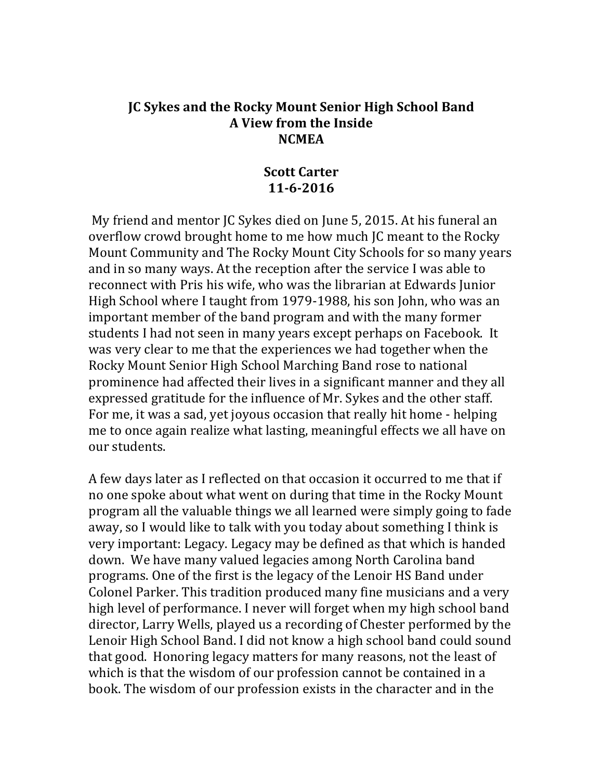#### **JC Sykes and the Rocky Mount Senior High School Band A View from the Inside NCMEA**

#### **Scott Carter 11-6-2016**

My friend and mentor JC Sykes died on June 5, 2015. At his funeral an overflow crowd brought home to me how much JC meant to the Rocky Mount Community and The Rocky Mount City Schools for so many years and in so many ways. At the reception after the service I was able to reconnect with Pris his wife, who was the librarian at Edwards Junior High School where I taught from 1979-1988, his son John, who was an important member of the band program and with the many former students I had not seen in many years except perhaps on Facebook. It was very clear to me that the experiences we had together when the Rocky Mount Senior High School Marching Band rose to national prominence had affected their lives in a significant manner and they all expressed gratitude for the influence of Mr. Sykes and the other staff. For me, it was a sad, yet joyous occasion that really hit home - helping me to once again realize what lasting, meaningful effects we all have on our students.

A few days later as I reflected on that occasion it occurred to me that if no one spoke about what went on during that time in the Rocky Mount program all the valuable things we all learned were simply going to fade away, so I would like to talk with you today about something I think is very important: Legacy. Legacy may be defined as that which is handed down. We have many valued legacies among North Carolina band programs. One of the first is the legacy of the Lenoir HS Band under Colonel Parker. This tradition produced many fine musicians and a very high level of performance. I never will forget when my high school band director, Larry Wells, played us a recording of Chester performed by the Lenoir High School Band. I did not know a high school band could sound that good. Honoring legacy matters for many reasons, not the least of which is that the wisdom of our profession cannot be contained in a book. The wisdom of our profession exists in the character and in the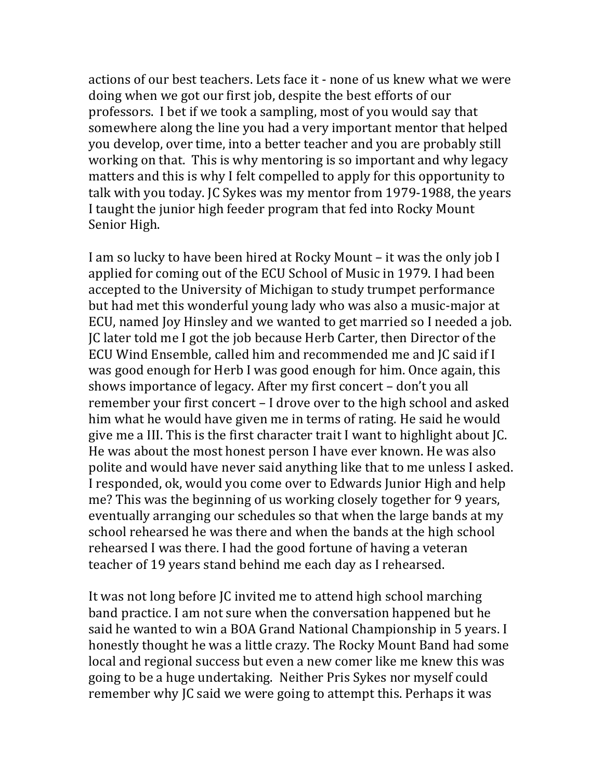actions of our best teachers. Lets face it - none of us knew what we were doing when we got our first job, despite the best efforts of our professors. I bet if we took a sampling, most of you would say that somewhere along the line you had a very important mentor that helped you develop, over time, into a better teacher and you are probably still working on that. This is why mentoring is so important and why legacy matters and this is why I felt compelled to apply for this opportunity to talk with you today. IC Sykes was my mentor from 1979-1988, the years I taught the junior high feeder program that fed into Rocky Mount Senior High.

I am so lucky to have been hired at Rocky Mount – it was the only job I applied for coming out of the ECU School of Music in 1979. I had been accepted to the University of Michigan to study trumpet performance but had met this wonderful young lady who was also a music-major at ECU, named Joy Hinsley and we wanted to get married so I needed a job. JC later told me I got the job because Herb Carter, then Director of the ECU Wind Ensemble, called him and recommended me and JC said if I was good enough for Herb I was good enough for him. Once again, this shows importance of legacy. After my first concert - don't you all remember your first concert - I drove over to the high school and asked him what he would have given me in terms of rating. He said he would give me a III. This is the first character trait I want to highlight about [C. He was about the most honest person I have ever known. He was also polite and would have never said anything like that to me unless I asked. I responded, ok, would you come over to Edwards Junior High and help me? This was the beginning of us working closely together for 9 years, eventually arranging our schedules so that when the large bands at my school rehearsed he was there and when the bands at the high school rehearsed I was there. I had the good fortune of having a veteran teacher of 19 years stand behind me each day as I rehearsed.

It was not long before IC invited me to attend high school marching band practice. I am not sure when the conversation happened but he said he wanted to win a BOA Grand National Championship in 5 years. I honestly thought he was a little crazy. The Rocky Mount Band had some local and regional success but even a new comer like me knew this was going to be a huge undertaking. Neither Pris Sykes nor myself could remember why IC said we were going to attempt this. Perhaps it was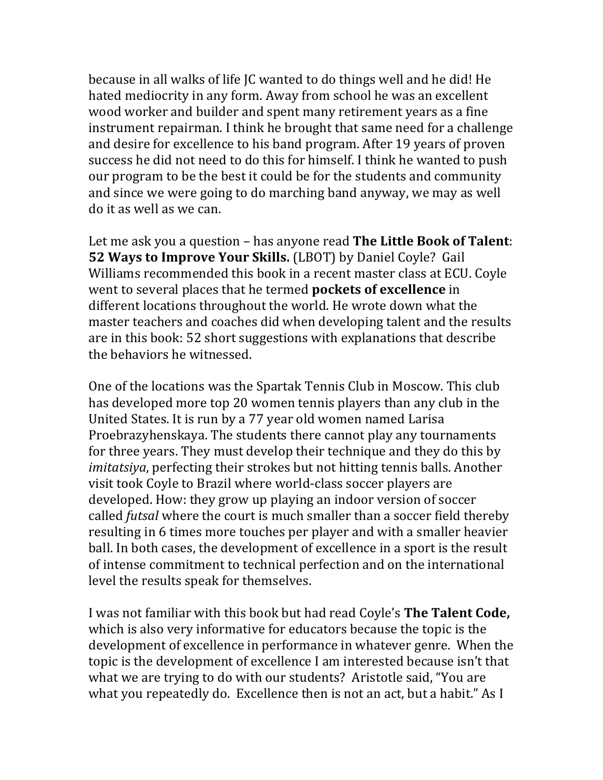because in all walks of life JC wanted to do things well and he did! He hated mediocrity in any form. Away from school he was an excellent wood worker and builder and spent many retirement years as a fine instrument repairman. I think he brought that same need for a challenge and desire for excellence to his band program. After 19 years of proven success he did not need to do this for himself. I think he wanted to push our program to be the best it could be for the students and community and since we were going to do marching band anyway, we may as well do it as well as we can.

Let me ask you a question – has anyone read **The Little Book of Talent**: **52 Ways to Improve Your Skills.** (LBOT) by Daniel Coyle? Gail Williams recommended this book in a recent master class at ECU. Coyle went to several places that he termed **pockets of excellence** in different locations throughout the world. He wrote down what the master teachers and coaches did when developing talent and the results are in this book: 52 short suggestions with explanations that describe the behaviors he witnessed.

One of the locations was the Spartak Tennis Club in Moscow. This club has developed more top 20 women tennis players than any club in the United States. It is run by a 77 year old women named Larisa Proebrazyhenskaya. The students there cannot play any tournaments for three years. They must develop their technique and they do this by *imitatsiya*, perfecting their strokes but not hitting tennis balls. Another visit took Coyle to Brazil where world-class soccer players are developed. How: they grow up playing an indoor version of soccer called *futsal* where the court is much smaller than a soccer field thereby resulting in 6 times more touches per player and with a smaller heavier ball. In both cases, the development of excellence in a sport is the result of intense commitment to technical perfection and on the international level the results speak for themselves.

I was not familiar with this book but had read Coyle's **The Talent Code**, which is also very informative for educators because the topic is the development of excellence in performance in whatever genre. When the topic is the development of excellence I am interested because isn't that what we are trying to do with our students? Aristotle said, "You are what you repeatedly do. Excellence then is not an act, but a habit." As I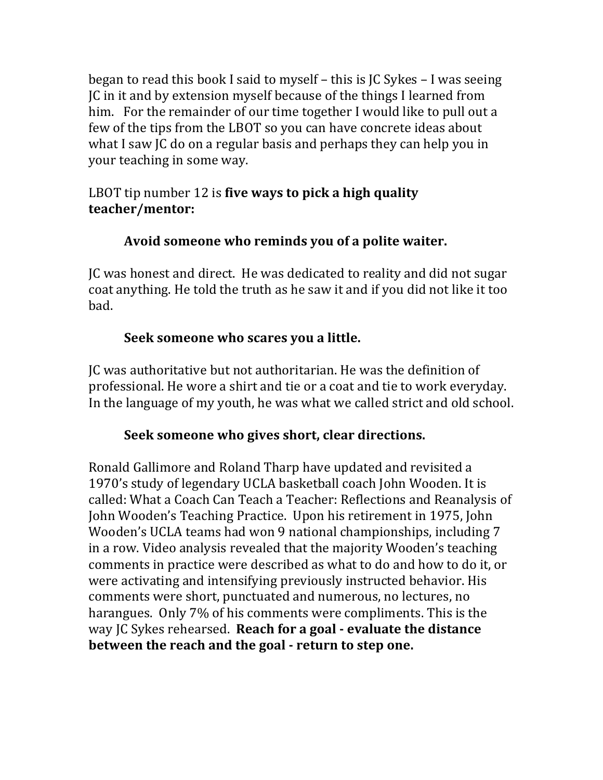began to read this book I said to myself - this is JC Sykes - I was seeing JC in it and by extension myself because of the things I learned from him. For the remainder of our time together I would like to pull out a few of the tips from the LBOT so you can have concrete ideas about what I saw IC do on a regular basis and perhaps they can help you in your teaching in some way.

# LBOT tip number 12 is five ways to pick a high quality **teacher/mentor:**

# Avoid someone who reminds you of a polite waiter.

JC was honest and direct. He was dedicated to reality and did not sugar coat anything. He told the truth as he saw it and if you did not like it too bad. 

# **Seek someone who scares you a little.**

JC was authoritative but not authoritarian. He was the definition of professional. He wore a shirt and tie or a coat and tie to work everyday. In the language of my youth, he was what we called strict and old school.

# Seek someone who gives short, clear directions.

Ronald Gallimore and Roland Tharp have updated and revisited a 1970's study of legendary UCLA basketball coach John Wooden. It is called: What a Coach Can Teach a Teacher: Reflections and Reanalysis of John Wooden's Teaching Practice. Upon his retirement in 1975, John Wooden's UCLA teams had won 9 national championships, including 7 in a row. Video analysis revealed that the majority Wooden's teaching comments in practice were described as what to do and how to do it, or were activating and intensifying previously instructed behavior. His comments were short, punctuated and numerous, no lectures, no harangues. Only 7% of his comments were compliments. This is the Way IC Sykes rehearsed. **Reach for a goal - evaluate the distance between the reach and the goal - return to step one.**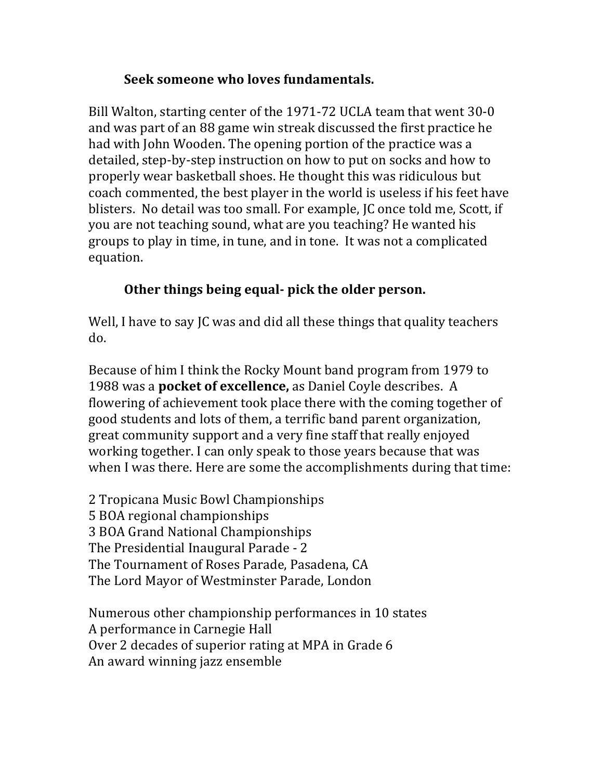#### **Seek someone who loves fundamentals.**

Bill Walton, starting center of the 1971-72 UCLA team that went 30-0 and was part of an 88 game win streak discussed the first practice he had with John Wooden. The opening portion of the practice was a detailed, step-by-step instruction on how to put on socks and how to properly wear basketball shoes. He thought this was ridiculous but coach commented, the best player in the world is useless if his feet have blisters. No detail was too small. For example, JC once told me, Scott, if you are not teaching sound, what are you teaching? He wanted his groups to play in time, in tune, and in tone. It was not a complicated equation. 

# **Other things being equal- pick the older person.**

Well, I have to say JC was and did all these things that quality teachers do. 

Because of him I think the Rocky Mount band program from 1979 to 1988 was a **pocket of excellence**, as Daniel Coyle describes. A flowering of achievement took place there with the coming together of good students and lots of them, a terrific band parent organization, great community support and a very fine staff that really enjoyed working together. I can only speak to those years because that was when I was there. Here are some the accomplishments during that time:

2 Tropicana Music Bowl Championships 5 BOA regional championships 3 BOA Grand National Championships The Presidential Inaugural Parade - 2 The Tournament of Roses Parade, Pasadena, CA The Lord Mayor of Westminster Parade, London

Numerous other championship performances in 10 states A performance in Carnegie Hall Over 2 decades of superior rating at MPA in Grade 6 An award winning jazz ensemble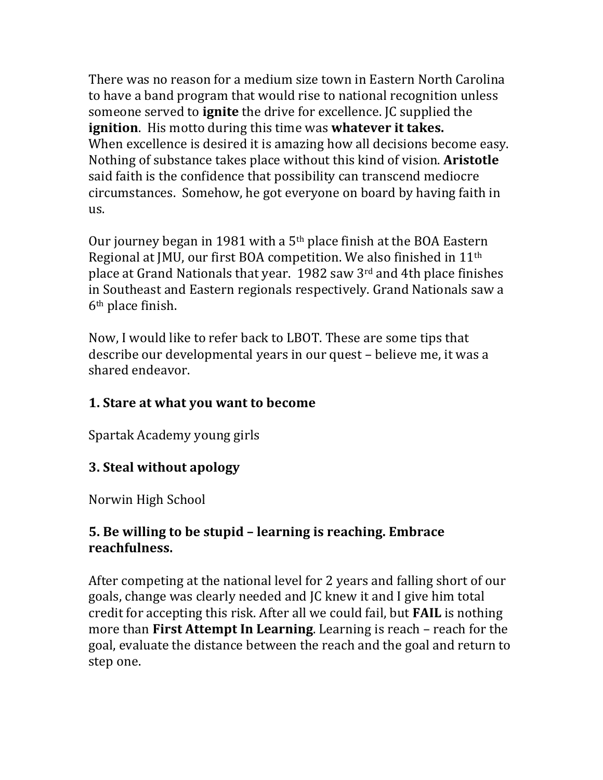There was no reason for a medium size town in Eastern North Carolina to have a band program that would rise to national recognition unless someone served to **ignite** the drive for excellence. JC supplied the **ignition**. His motto during this time was **whatever it takes.** When excellence is desired it is amazing how all decisions become easy. Nothing of substance takes place without this kind of vision. **Aristotle** said faith is the confidence that possibility can transcend mediocre circumstances. Somehow, he got everyone on board by having faith in us.

Our journey began in 1981 with a  $5<sup>th</sup>$  place finish at the BOA Eastern Regional at JMU, our first BOA competition. We also finished in 11<sup>th</sup> place at Grand Nationals that year.  $1982$  saw  $3<sup>rd</sup>$  and 4th place finishes in Southeast and Eastern regionals respectively. Grand Nationals saw a  $6<sup>th</sup>$  place finish.

Now, I would like to refer back to LBOT. These are some tips that describe our developmental years in our quest – believe me, it was a shared endeavor.

# **1. Stare at what you want to become**

Spartak Academy young girls

#### **3. Steal without apology**

Norwin High School

### **5. Be willing to be stupid – learning is reaching. Embrace reachfulness.**

After competing at the national level for 2 years and falling short of our goals, change was clearly needed and JC knew it and I give him total credit for accepting this risk. After all we could fail, but **FAIL** is nothing more than **First Attempt In Learning**. Learning is reach – reach for the goal, evaluate the distance between the reach and the goal and return to step one.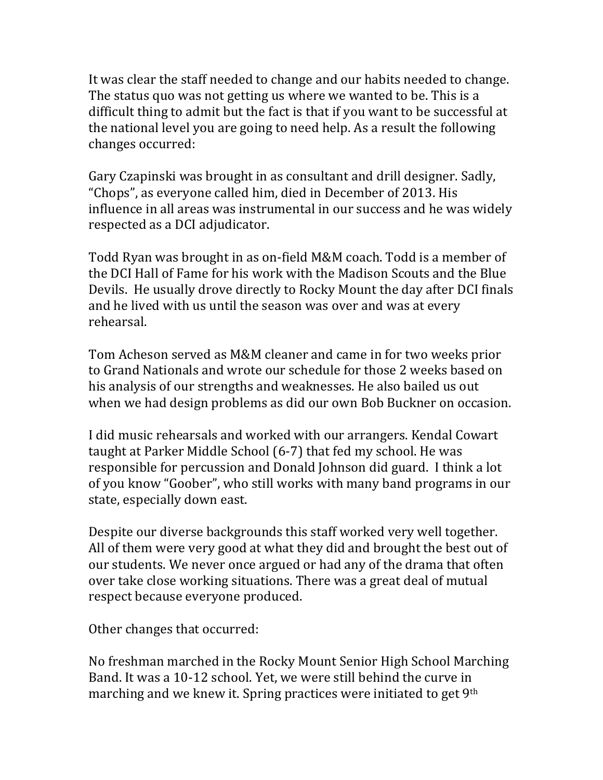It was clear the staff needed to change and our habits needed to change. The status quo was not getting us where we wanted to be. This is a difficult thing to admit but the fact is that if you want to be successful at the national level you are going to need help. As a result the following changes occurred:

Gary Czapinski was brought in as consultant and drill designer. Sadly, "Chops", as everyone called him, died in December of 2013. His influence in all areas was instrumental in our success and he was widely respected as a DCI adjudicator.

Todd Ryan was brought in as on-field M&M coach. Todd is a member of the DCI Hall of Fame for his work with the Madison Scouts and the Blue Devils. He usually drove directly to Rocky Mount the day after DCI finals and he lived with us until the season was over and was at every rehearsal. 

Tom Acheson served as M&M cleaner and came in for two weeks prior to Grand Nationals and wrote our schedule for those 2 weeks based on his analysis of our strengths and weaknesses. He also bailed us out when we had design problems as did our own Bob Buckner on occasion.

I did music rehearsals and worked with our arrangers. Kendal Cowart taught at Parker Middle School  $(6-7)$  that fed my school. He was responsible for percussion and Donald Johnson did guard. I think a lot of you know "Goober", who still works with many band programs in our state, especially down east.

Despite our diverse backgrounds this staff worked very well together. All of them were very good at what they did and brought the best out of our students. We never once argued or had any of the drama that often over take close working situations. There was a great deal of mutual respect because everyone produced.

Other changes that occurred:

No freshman marched in the Rocky Mount Senior High School Marching Band. It was a 10-12 school. Yet, we were still behind the curve in marching and we knew it. Spring practices were initiated to get  $9<sup>th</sup>$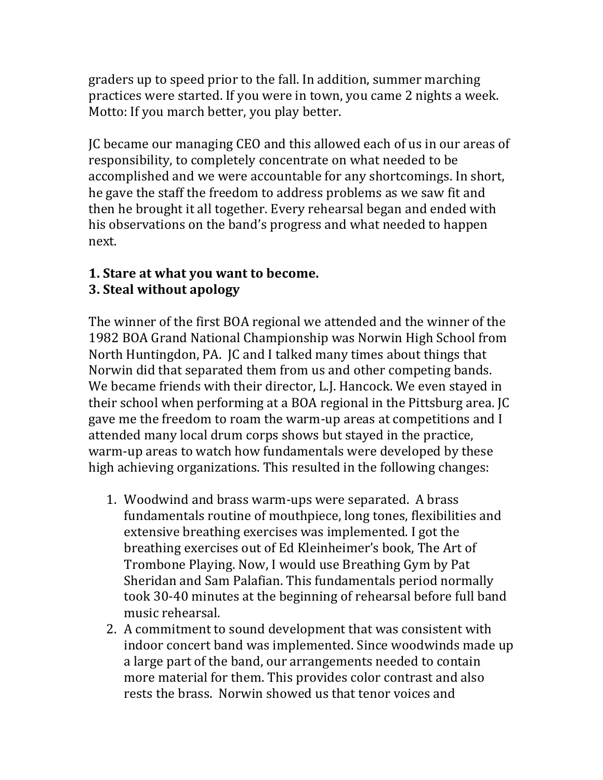graders up to speed prior to the fall. In addition, summer marching practices were started. If you were in town, you came 2 nights a week. Motto: If you march better, you play better.

JC became our managing CEO and this allowed each of us in our areas of responsibility, to completely concentrate on what needed to be accomplished and we were accountable for any shortcomings. In short, he gave the staff the freedom to address problems as we saw fit and then he brought it all together. Every rehearsal began and ended with his observations on the band's progress and what needed to happen next. 

# **1.** Stare at what you want to become.

# **3. Steal without apology**

The winner of the first BOA regional we attended and the winner of the 1982 BOA Grand National Championship was Norwin High School from North Huntingdon, PA. JC and I talked many times about things that Norwin did that separated them from us and other competing bands. We became friends with their director, L.J. Hancock. We even stayed in their school when performing at a BOA regional in the Pittsburg area. [C] gave me the freedom to roam the warm-up areas at competitions and I attended many local drum corps shows but stayed in the practice, warm-up areas to watch how fundamentals were developed by these high achieving organizations. This resulted in the following changes:

- 1. Woodwind and brass warm-ups were separated. A brass fundamentals routine of mouthpiece, long tones, flexibilities and extensive breathing exercises was implemented. I got the breathing exercises out of Ed Kleinheimer's book, The Art of Trombone Playing. Now, I would use Breathing Gym by Pat Sheridan and Sam Palafian. This fundamentals period normally took 30-40 minutes at the beginning of rehearsal before full band music rehearsal.
- 2. A commitment to sound development that was consistent with indoor concert band was implemented. Since woodwinds made up a large part of the band, our arrangements needed to contain more material for them. This provides color contrast and also rests the brass. Norwin showed us that tenor voices and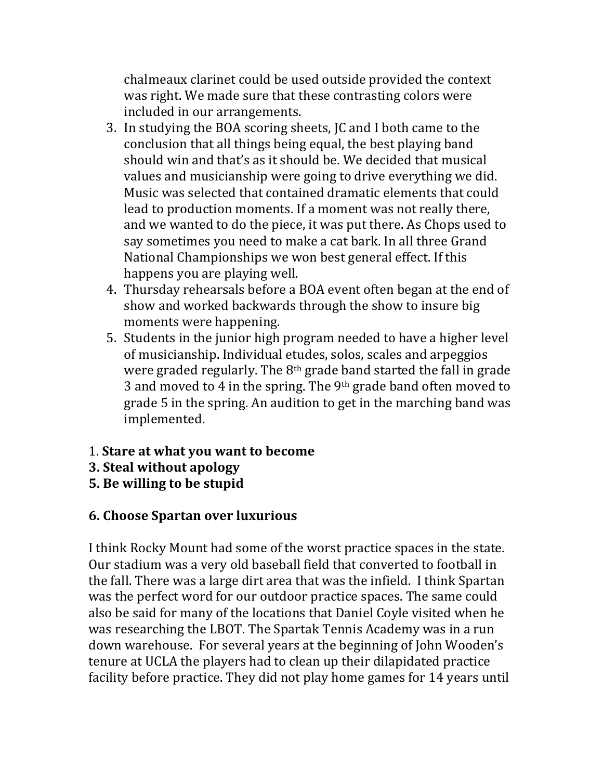chalmeaux clarinet could be used outside provided the context was right. We made sure that these contrasting colors were included in our arrangements.

- 3. In studying the BOA scoring sheets, JC and I both came to the conclusion that all things being equal, the best playing band should win and that's as it should be. We decided that musical values and musicianship were going to drive everything we did. Music was selected that contained dramatic elements that could lead to production moments. If a moment was not really there, and we wanted to do the piece, it was put there. As Chops used to say sometimes you need to make a cat bark. In all three Grand National Championships we won best general effect. If this happens you are playing well.
- 4. Thursday rehearsals before a BOA event often began at the end of show and worked backwards through the show to insure big moments were happening.
- 5. Students in the junior high program needed to have a higher level of musicianship. Individual etudes, solos, scales and arpeggios were graded regularly. The  $8<sup>th</sup>$  grade band started the fall in grade 3 and moved to 4 in the spring. The  $9<sup>th</sup>$  grade band often moved to grade 5 in the spring. An audition to get in the marching band was implemented.
- 1. **Stare at what you want to become**
- **3. Steal without apology**
- **5. Be willing to be stupid**

# **6. Choose Spartan over luxurious**

I think Rocky Mount had some of the worst practice spaces in the state. Our stadium was a very old baseball field that converted to football in the fall. There was a large dirt area that was the infield. I think Spartan was the perfect word for our outdoor practice spaces. The same could also be said for many of the locations that Daniel Coyle visited when he was researching the LBOT. The Spartak Tennis Academy was in a run down warehouse. For several years at the beginning of John Wooden's tenure at UCLA the players had to clean up their dilapidated practice facility before practice. They did not play home games for 14 years until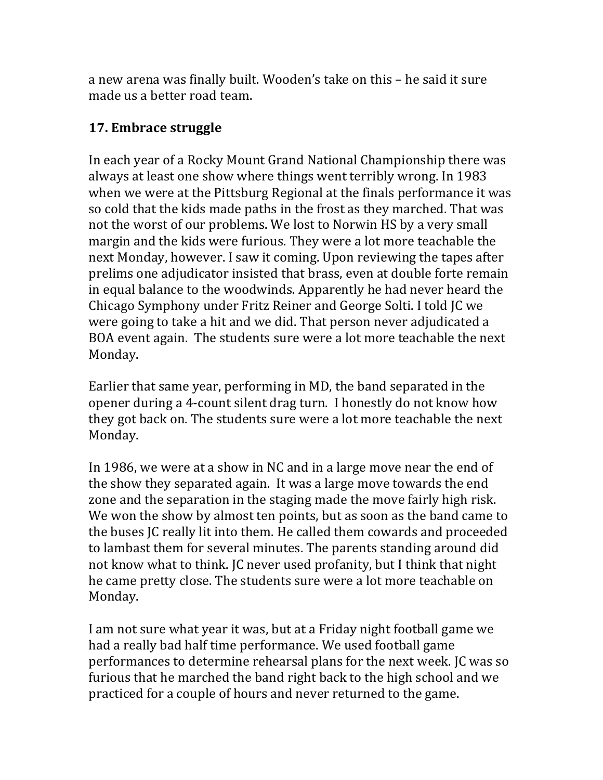a new arena was finally built. Wooden's take on this – he said it sure made us a better road team.

#### **17. Embrace struggle**

In each year of a Rocky Mount Grand National Championship there was always at least one show where things went terribly wrong. In 1983 when we were at the Pittsburg Regional at the finals performance it was so cold that the kids made paths in the frost as they marched. That was not the worst of our problems. We lost to Norwin HS by a very small margin and the kids were furious. They were a lot more teachable the next Monday, however. I saw it coming. Upon reviewing the tapes after prelims one adjudicator insisted that brass, even at double forte remain in equal balance to the woodwinds. Apparently he had never heard the Chicago Symphony under Fritz Reiner and George Solti. I told JC we were going to take a hit and we did. That person never adjudicated a BOA event again. The students sure were a lot more teachable the next Monday.

Earlier that same year, performing in MD, the band separated in the opener during a 4-count silent drag turn. I honestly do not know how they got back on. The students sure were a lot more teachable the next Monday.

In 1986, we were at a show in NC and in a large move near the end of the show they separated again. It was a large move towards the end zone and the separation in the staging made the move fairly high risk. We won the show by almost ten points, but as soon as the band came to the buses IC really lit into them. He called them cowards and proceeded to lambast them for several minutes. The parents standing around did not know what to think. IC never used profanity, but I think that night he came pretty close. The students sure were a lot more teachable on Monday. 

I am not sure what year it was, but at a Friday night football game we had a really bad half time performance. We used football game performances to determine rehearsal plans for the next week. IC was so furious that he marched the band right back to the high school and we practiced for a couple of hours and never returned to the game.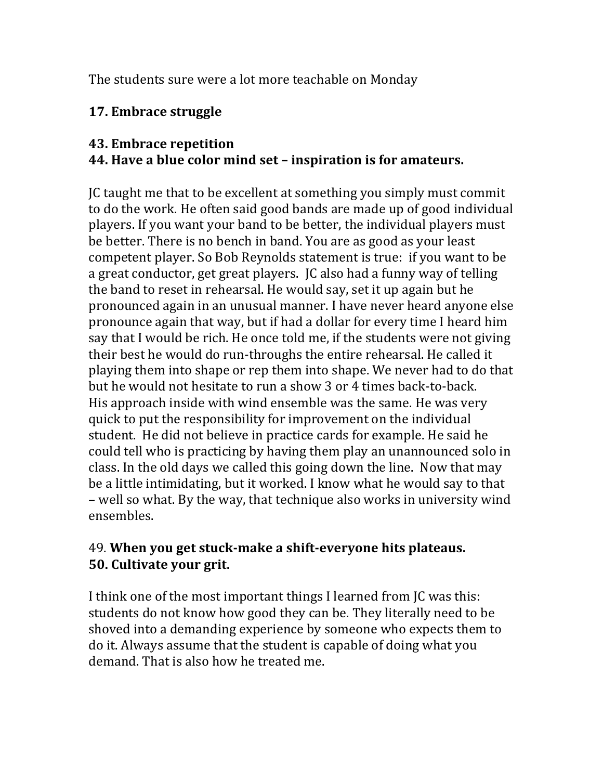The students sure were a lot more teachable on Monday

## **17. Embrace struggle**

#### **43. Embrace repetition**

# **44.** Have a blue color mind set - inspiration is for amateurs.

JC taught me that to be excellent at something you simply must commit to do the work. He often said good bands are made up of good individual players. If you want your band to be better, the individual players must be better. There is no bench in band. You are as good as your least competent player. So Bob Reynolds statement is true: if you want to be a great conductor, get great players. JC also had a funny way of telling the band to reset in rehearsal. He would say, set it up again but he pronounced again in an unusual manner. I have never heard anyone else pronounce again that way, but if had a dollar for every time I heard him say that I would be rich. He once told me, if the students were not giving their best he would do run-throughs the entire rehearsal. He called it playing them into shape or rep them into shape. We never had to do that but he would not hesitate to run a show 3 or 4 times back-to-back. His approach inside with wind ensemble was the same. He was very quick to put the responsibility for improvement on the individual student. He did not believe in practice cards for example. He said he could tell who is practicing by having them play an unannounced solo in class. In the old days we called this going down the line. Now that may be a little intimidating, but it worked. I know what he would say to that – well so what. By the way, that technique also works in university wind ensembles. 

### 49. **When you get stuck-make a shift-everyone hits plateaus. 50.** Cultivate your grit.

I think one of the most important things I learned from JC was this: students do not know how good they can be. They literally need to be shoved into a demanding experience by someone who expects them to do it. Always assume that the student is capable of doing what you demand. That is also how he treated me.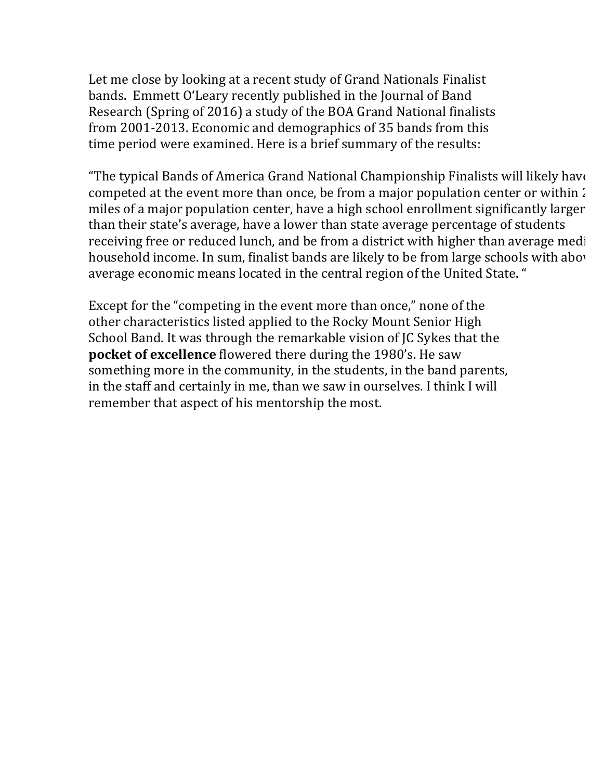Let me close by looking at a recent study of Grand Nationals Finalist bands. Emmett O'Leary recently published in the Journal of Band Research (Spring of 2016) a study of the BOA Grand National finalists from 2001-2013. Economic and demographics of 35 bands from this time period were examined. Here is a brief summary of the results:

"The typical Bands of America Grand National Championship Finalists will likely have competed at the event more than once, be from a major population center or within  $\lambda$ miles of a major population center, have a high school enrollment significantly larger than their state's average, have a lower than state average percentage of students receiving free or reduced lunch, and be from a district with higher than average medihousehold income. In sum, finalist bands are likely to be from large schools with abov average economic means located in the central region of the United State. "

Except for the "competing in the event more than once," none of the other characteristics listed applied to the Rocky Mount Senior High School Band. It was through the remarkable vision of JC Sykes that the **pocket of excellence** flowered there during the 1980's. He saw something more in the community, in the students, in the band parents, in the staff and certainly in me, than we saw in ourselves. I think I will remember that aspect of his mentorship the most.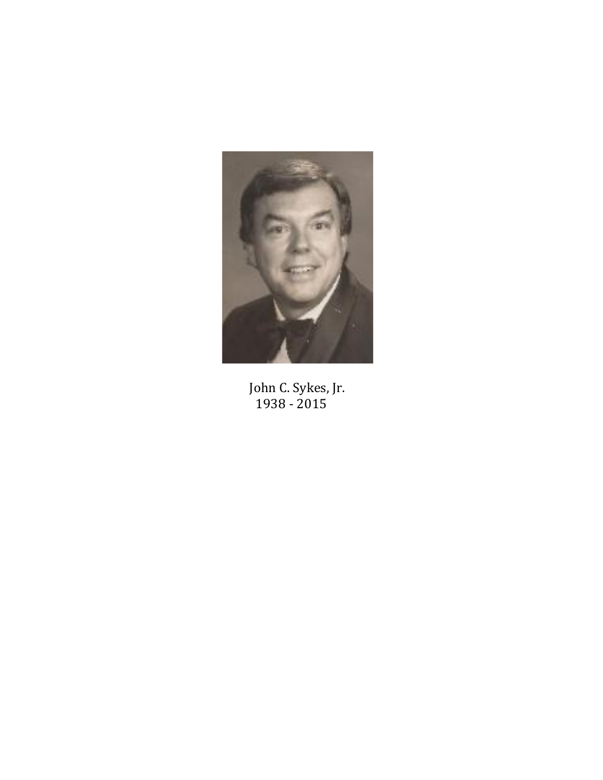

John C. Sykes, Jr.<br>1938 - 2015